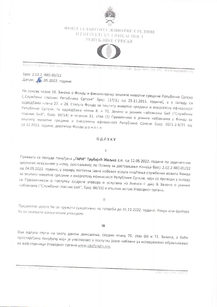

# ФОНД ЗА ЗАШТИТУ ЖИВОТНЕ СРЕДИНЕ И ЕНЕРГЕТСКУ ГФИКАСНОСТ РЕПУБЛИКЕ СРПСКЕ



Краза Азфонса XIII број 21. Боњалува 22.г. 051 231.330, 051 231.340, факс: 051.231-351, миш.ekofondrs.org

Број: 2.02.2 -880-03/22 Датум: 16.05.2022. године

На основу члана 16. Закона о Фонду и финансирању заштите животне средине Републике Српске ("Службени гласник Републике Српске" број: 117/11 од 25.11.2011. године), а у складу са одредбама члана 27. и 28. Статута Фонда за заштиту животне средине и енергетску ефикасност Републике Српске, те одредбама члана 8. и 70. Закона о јавним набавкама БиХ ("Службени гласник БиХ", број: 39/14) и чланом 21. став (1) Правилника о јавним набавкама у Фонду за заштиту животне средине и енергетску ефикасност Републике Српске број: 02/1-2.4/15 од 14.12.2015. године, директор Фонда доноси:

## ОДЛУКУ

#### $\mathbf{I}$

Прихвата се понуда понуђача "ГАРИ" Трубајић Жељко с.п. од 12.05.2022. године по јединичним цијенама исказаним у истој, достављеној по Позиву за достављање понуда број: 2.02.2-880-01/22 од 04.05.2022. године, у оквиру поступка јавне набавке услуга чишћења службених возила Фонда за заштиту животне средине и енергетску ефикасност Републике Српске, који се проводи у складу са Правилником о поступку додјеле уговора о услугама из Анекса II дио Б Закона о јавним набавкама ("Службени гласник БиХ", број: 66/16) и општим актом Уговорног органа.

#### $\mathbf{H}$

Предметне услуге ће се пружати сукцесивно по потреби до 31.12.2022. године. Рачун или фактура ће се сматрати закљученим уговором.

### Ш

Ова одлука ступа на снагу даном доношења, сходно члану 70. став (6) и 71. Закона, а биће прослијеђена понуђачу који је учествовао у поступку јавне набавке уз истовремено објављивање на web страници Уговорног органа www.ekofondrs.org.

I mail into a plecie why arg